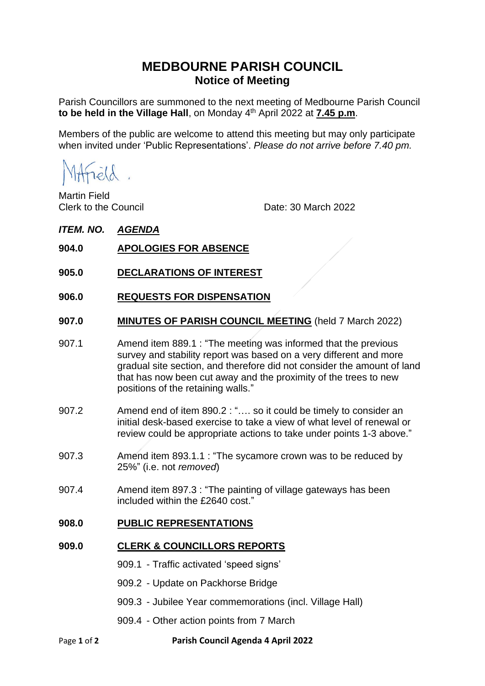# **MEDBOURNE PARISH COUNCIL Notice of Meeting**

Parish Councillors are summoned to the next meeting of Medbourne Parish Council **to be held in the Village Hall**, on Monday 4 th April 2022 at **7.45 p.m**.

Members of the public are welcome to attend this meeting but may only participate when invited under 'Public Representations'. *Please do not arrive before 7.40 pm.*

Hrield.

Martin Field

Clerk to the Council Date: 30 March 2022

## *ITEM. NO. AGENDA*

- **904.0 APOLOGIES FOR ABSENCE**
- **905.0 DECLARATIONS OF INTEREST**
- **906.0 REQUESTS FOR DISPENSATION**
- **907.0 MINUTES OF PARISH COUNCIL MEETING** (held 7 March 2022)
- 907.1 Amend item 889.1 : "The meeting was informed that the previous survey and stability report was based on a very different and more gradual site section, and therefore did not consider the amount of land that has now been cut away and the proximity of the trees to new positions of the retaining walls."
- 907.2 Amend end of item 890.2 : "…. so it could be timely to consider an initial desk-based exercise to take a view of what level of renewal or review could be appropriate actions to take under points 1-3 above."
- 907.3 Amend item 893.1.1 : "The sycamore crown was to be reduced by 25%" (i.e. not *removed*)
- 907.4 Amend item 897.3 : "The painting of village gateways has been included within the £2640 cost."

#### **908.0 PUBLIC REPRESENTATIONS**

## **909.0 CLERK & COUNCILLORS REPORTS**

- 909.1 Traffic activated 'speed signs'
- 909.2 Update on Packhorse Bridge
- 909.3 Jubilee Year commemorations (incl. Village Hall)
- 909.4 Other action points from 7 March